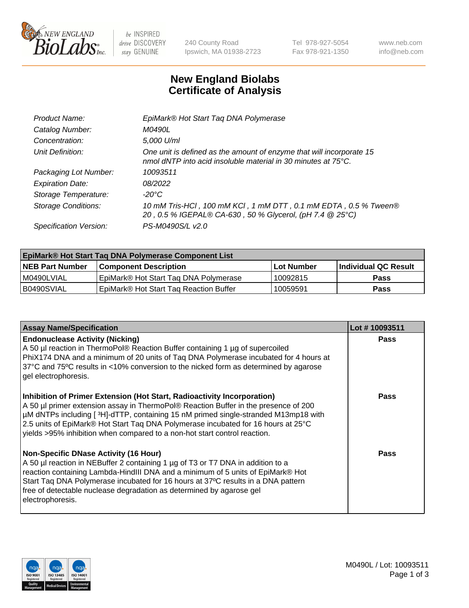

 $be$  INSPIRED drive DISCOVERY stay GENUINE

240 County Road Ipswich, MA 01938-2723 Tel 978-927-5054 Fax 978-921-1350 www.neb.com info@neb.com

## **New England Biolabs Certificate of Analysis**

| EpiMark® Hot Start Tag DNA Polymerase                                                                                                           |
|-------------------------------------------------------------------------------------------------------------------------------------------------|
| M0490L                                                                                                                                          |
| 5,000 U/ml                                                                                                                                      |
| One unit is defined as the amount of enzyme that will incorporate 15<br>nmol dNTP into acid insoluble material in 30 minutes at $75^{\circ}$ C. |
| 10093511                                                                                                                                        |
| 08/2022                                                                                                                                         |
| $-20^{\circ}$ C                                                                                                                                 |
| 10 mM Tris-HCl, 100 mM KCl, 1 mM DTT, 0.1 mM EDTA, 0.5 % Tween®<br>20, 0.5 % IGEPAL® CA-630, 50 % Glycerol, (pH 7.4 @ 25°C)                     |
| PS-M0490S/L v2.0                                                                                                                                |
|                                                                                                                                                 |

| <b>EpiMark® Hot Start Taq DNA Polymerase Component List</b> |                                                    |              |                       |  |  |
|-------------------------------------------------------------|----------------------------------------------------|--------------|-----------------------|--|--|
| <b>NEB Part Number</b>                                      | <b>Component Description</b>                       | l Lot Number | ∣Individual QC Result |  |  |
| I M0490LVIAL                                                | EpiMark® Hot Start Tag DNA Polymerase              | 10092815     | <b>Pass</b>           |  |  |
| B0490SVIAL                                                  | EpiMark <sup>®</sup> Hot Start Tag Reaction Buffer | 10059591     | Pass                  |  |  |

| <b>Assay Name/Specification</b>                                                                                                                                                                                                                                                                                                                                                                                        | Lot #10093511 |
|------------------------------------------------------------------------------------------------------------------------------------------------------------------------------------------------------------------------------------------------------------------------------------------------------------------------------------------------------------------------------------------------------------------------|---------------|
| <b>Endonuclease Activity (Nicking)</b><br>A 50 µl reaction in ThermoPol® Reaction Buffer containing 1 µg of supercoiled<br>PhiX174 DNA and a minimum of 20 units of Taq DNA Polymerase incubated for 4 hours at<br>37°C and 75°C results in <10% conversion to the nicked form as determined by agarose<br>gel electrophoresis.                                                                                        | <b>Pass</b>   |
| Inhibition of Primer Extension (Hot Start, Radioactivity Incorporation)<br>A 50 µl primer extension assay in ThermoPol® Reaction Buffer in the presence of 200<br>µM dNTPs including [3H]-dTTP, containing 15 nM primed single-stranded M13mp18 with<br>2.5 units of EpiMark® Hot Start Taq DNA Polymerase incubated for 16 hours at 25°C<br>yields >95% inhibition when compared to a non-hot start control reaction. | <b>Pass</b>   |
| <b>Non-Specific DNase Activity (16 Hour)</b><br>A 50 µl reaction in NEBuffer 2 containing 1 µg of T3 or T7 DNA in addition to a<br>reaction containing Lambda-HindIII DNA and a minimum of 5 units of EpiMark® Hot<br>Start Taq DNA Polymerase incubated for 16 hours at 37°C results in a DNA pattern<br>free of detectable nuclease degradation as determined by agarose gel<br>electrophoresis.                     | Pass          |

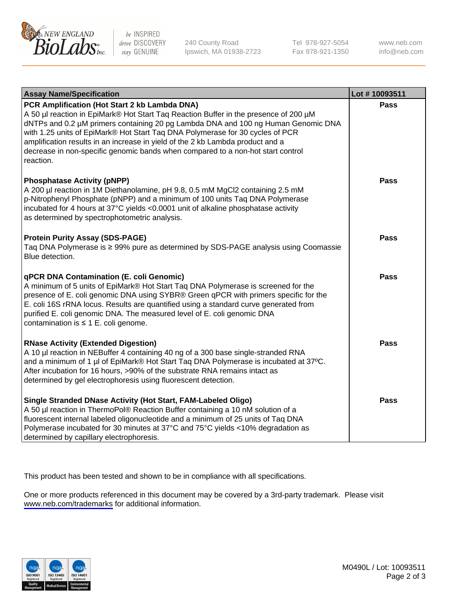

be INSPIRED drive DISCOVERY stay GENUINE

240 County Road Ipswich, MA 01938-2723 Tel 978-927-5054 Fax 978-921-1350

www.neb.com info@neb.com

| <b>Assay Name/Specification</b>                                                                                                                                                                                                                                                                                                                                                                                                                                                               | Lot #10093511 |
|-----------------------------------------------------------------------------------------------------------------------------------------------------------------------------------------------------------------------------------------------------------------------------------------------------------------------------------------------------------------------------------------------------------------------------------------------------------------------------------------------|---------------|
| PCR Amplification (Hot Start 2 kb Lambda DNA)<br>A 50 µl reaction in EpiMark® Hot Start Taq Reaction Buffer in the presence of 200 µM<br>dNTPs and 0.2 µM primers containing 20 pg Lambda DNA and 100 ng Human Genomic DNA<br>with 1.25 units of EpiMark® Hot Start Taq DNA Polymerase for 30 cycles of PCR<br>amplification results in an increase in yield of the 2 kb Lambda product and a<br>decrease in non-specific genomic bands when compared to a non-hot start control<br>reaction. | <b>Pass</b>   |
| <b>Phosphatase Activity (pNPP)</b><br>A 200 µl reaction in 1M Diethanolamine, pH 9.8, 0.5 mM MgCl2 containing 2.5 mM<br>p-Nitrophenyl Phosphate (pNPP) and a minimum of 100 units Taq DNA Polymerase<br>incubated for 4 hours at 37°C yields <0.0001 unit of alkaline phosphatase activity<br>as determined by spectrophotometric analysis.                                                                                                                                                   | <b>Pass</b>   |
| <b>Protein Purity Assay (SDS-PAGE)</b><br>Taq DNA Polymerase is ≥ 99% pure as determined by SDS-PAGE analysis using Coomassie<br>Blue detection.                                                                                                                                                                                                                                                                                                                                              | <b>Pass</b>   |
| <b>qPCR DNA Contamination (E. coli Genomic)</b><br>A minimum of 5 units of EpiMark® Hot Start Taq DNA Polymerase is screened for the<br>presence of E. coli genomic DNA using SYBR® Green qPCR with primers specific for the<br>E. coli 16S rRNA locus. Results are quantified using a standard curve generated from<br>purified E. coli genomic DNA. The measured level of E. coli genomic DNA<br>contamination is $\leq 1$ E. coli genome.                                                  | <b>Pass</b>   |
| <b>RNase Activity (Extended Digestion)</b><br>A 10 µl reaction in NEBuffer 4 containing 40 ng of a 300 base single-stranded RNA<br>and a minimum of 1 µl of EpiMark® Hot Start Taq DNA Polymerase is incubated at 37°C.<br>After incubation for 16 hours, >90% of the substrate RNA remains intact as<br>determined by gel electrophoresis using fluorescent detection.                                                                                                                       | <b>Pass</b>   |
| Single Stranded DNase Activity (Hot Start, FAM-Labeled Oligo)<br>A 50 µl reaction in ThermoPol® Reaction Buffer containing a 10 nM solution of a<br>fluorescent internal labeled oligonucleotide and a minimum of 25 units of Taq DNA<br>Polymerase incubated for 30 minutes at 37°C and 75°C yields <10% degradation as<br>determined by capillary electrophoresis.                                                                                                                          | <b>Pass</b>   |

This product has been tested and shown to be in compliance with all specifications.

One or more products referenced in this document may be covered by a 3rd-party trademark. Please visit <www.neb.com/trademarks>for additional information.